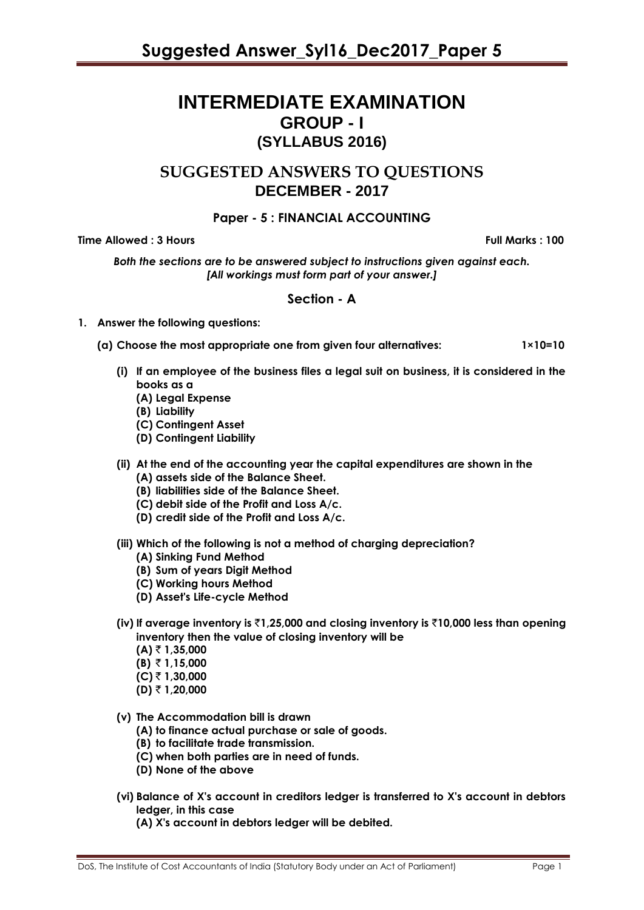# **INTERMEDIATE EXAMINATION GROUP - I (SYLLABUS 2016)**

# **SUGGESTED ANSWERS TO QUESTIONS DECEMBER - 2017**

# **Paper - 5 : FINANCIAL ACCOUNTING**

# **Time Allowed : 3 Hours Full Marks Full Marks : 100**

*Both the sections are to be answered subject to instructions given against each. [All workings must form part of your answer.]*

# **Section - A**

# **1. Answer the following questions:**

**(a) Choose the most appropriate one from given four alternatives: 1×10=10**

- **(i) If an employee of the business files a legal suit on business, it is considered in the books as a**
	- **(A) Legal Expense**
	- **(B) Liability**
	- **(C) Contingent Asset**
	- **(D) Contingent Liability**
- **(ii) At the end of the accounting year the capital expenditures are shown in the (A) assets side of the Balance Sheet.**
	- **(B) liabilities side of the Balance Sheet.**
	- **(C) debit side of the Profit and Loss A/c.**
	- **(D) credit side of the Profit and Loss A/c.**
- **(iii) Which of the following is not a method of charging depreciation?**
	- **(A) Sinking Fund Method**
	- **(B) Sum of years Digit Method**
	- **(C) Working hours Method**
	- **(D) Asset's Life-cycle Method**
- **(iv) If average inventory is** `**1,25,000 and closing inventory is** `**10,000 less than opening inventory then the value of closing inventory will be**
	- $(A) \t{7} 1,35,000$
	- **(B)** ` **1,15,000**
	- **(C)** ` **1,30,000**
	- **(D)** ₹ 1,20,000
- **(v) The Accommodation bill is drawn**
	- **(A) to finance actual purchase or sale of goods.**
	- **(B) to facilitate trade transmission.**
	- **(C) when both parties are in need of funds.**
	- **(D) None of the above**
- **(vi) Balance of X's account in creditors ledger is transferred to X's account in debtors ledger, in this case**
	- **(A) X's account in debtors ledger will be debited.**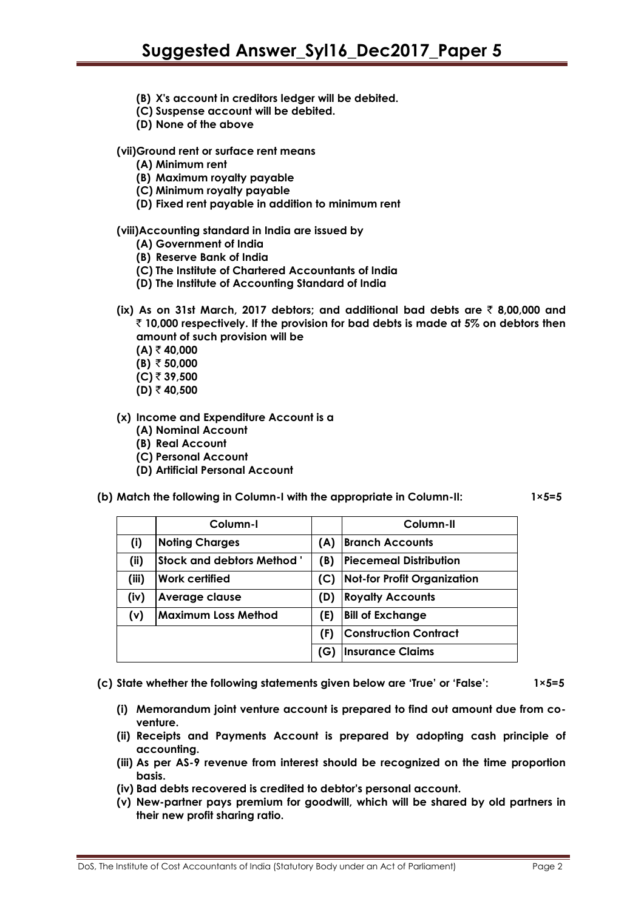- **(B) X's account in creditors ledger will be debited.**
- **(C) Suspense account will be debited.**
- **(D) None of the above**

#### **(vii)Ground rent or surface rent means**

- **(A) Minimum rent**
- **(B) Maximum royalty payable**
- **(C) Minimum royalty payable**
- **(D) Fixed rent payable in addition to minimum rent**

#### **(viii)Accounting standard in India are issued by**

- **(A) Government of India**
- **(B) Reserve Bank of India**
- **(C) The Institute of Chartered Accountants of India**
- **(D) The Institute of Accounting Standard of India**
- **(ix) As on 31st March, 2017 debtors; and additional bad debts are** ` **8,00,000 and**  ` **10,000 respectively. If the provision for bad debts is made at 5% on debtors then amount of such provision will be**
	- **(A)** ` **40,000**
	- **(B)**  $\bar{z}$  **50,000**
	- **(C)** ` **39,500**
	- **(D)** ` **40,500**

#### **(x) Income and Expenditure Account is a**

- **(A) Nominal Account**
- **(B) Real Account**
- **(C) Personal Account**
- **(D) Artificial Personal Account**
- **(b) Match the following in Column-I with the appropriate in Column-II: 1×5=5**

|       | Column-I                         |     | Column-II                          |
|-------|----------------------------------|-----|------------------------------------|
| (i)   | <b>Noting Charges</b>            | (A) | <b>Branch Accounts</b>             |
| (i)   | <b>Stock and debtors Method'</b> | (B) | <b>Piecemeal Distribution</b>      |
| (iii) | <b>Work certified</b>            | (C) | <b>Not-for Profit Organization</b> |
| (iv)  | Average clause                   | (D) | <b>Royalty Accounts</b>            |
| (v)   | <b>Maximum Loss Method</b>       | (E) | <b>Bill of Exchange</b>            |
|       |                                  | (F) | <b>Construction Contract</b>       |
|       |                                  | (G) | <b>Insurance Claims</b>            |

**(c) State whether the following statements given below are 'True' or 'False': 1×5=5**

- **(i) Memorandum joint venture account is prepared to find out amount due from coventure.**
- **(ii) Receipts and Payments Account is prepared by adopting cash principle of accounting.**
- **(iii) As per AS-9 revenue from interest should be recognized on the time proportion basis.**
- **(iv) Bad debts recovered is credited to debtor's personal account.**
- **(v) New-partner pays premium for goodwill, which will be shared by old partners in their new profit sharing ratio.**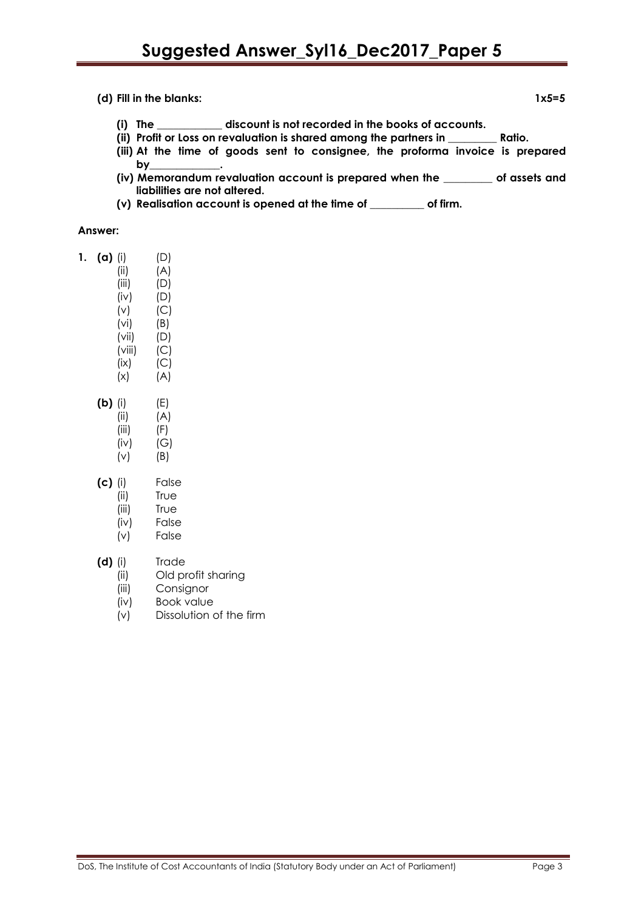**(d) Fill in the blanks: 1x5=5**

- **(i) The \_\_\_\_\_\_\_\_\_\_\_\_ discount is not recorded in the books of accounts.**
- **(ii) Profit or Loss on revaluation is shared among the partners in \_\_\_\_\_\_\_\_\_ Ratio.**
- **(iii) At the time of goods sent to consignee, the proforma invoice is prepared by\_**
- **(iv) Memorandum revaluation account is prepared when the \_\_\_\_\_\_\_\_\_ of assets and liabilities are not altered.**
- **(v) Realisation account is opened at the time of \_\_\_\_\_\_\_\_\_\_ of firm.**

#### **Answer:**

| $(a)$ (i) | (D) |
|-----------|-----|
|           |     |
|           |     |

- $(iii)$   $(A)$  $(iii)$   $(D)$  $(iv)$   $(D)$ (v) (C)
- (vi) (B) (vii) (D)  $(viii)$   $(C)$  $(ix)$   $(C)$
- $(X)$   $(A)$ **(b)** (i) (E) (ii) (A)
	- (iii) (F) (iv) (G) (v) (B)
- **(c)** (i) False
	- (ii) True
	- (iii) True
	- (iv) False
	- (v) False

# **(d)** (i) Trade

- (ii) Old profit sharing
- (iii) Consignor
- (iv) Book value
- (v) Dissolution of the firm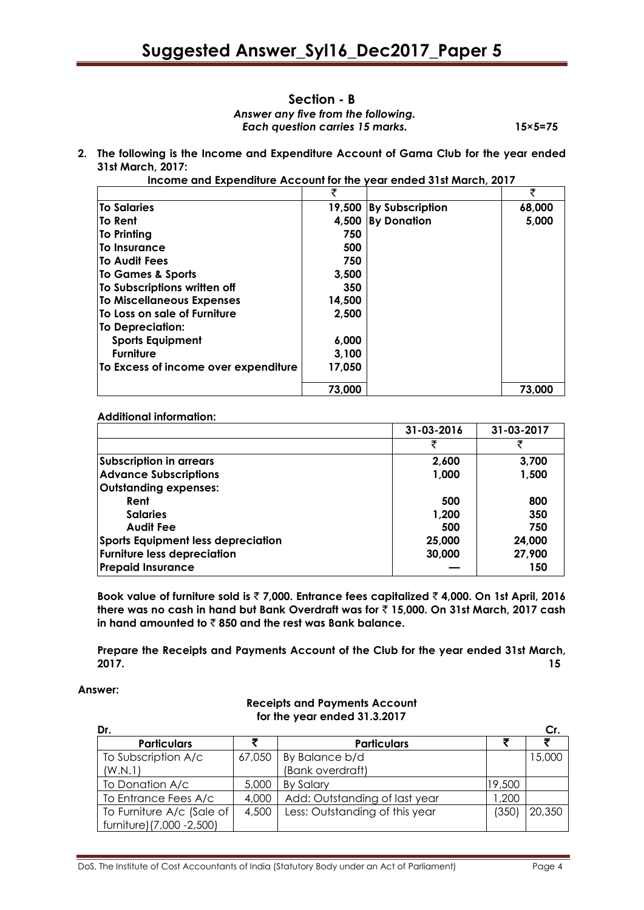#### **Section - B** *Answer any five from the following.*  *Each question carries 15 marks.* **15×5=75**

**2. The following is the Income and Expenditure Account of Gama Club for the year ended 31st March, 2017:**

**Income and Expenditure Account for the year ended 31st March, 2017**

|                                      | ₹      |                        | ₹      |
|--------------------------------------|--------|------------------------|--------|
| <b>To Salaries</b>                   | 19,500 | <b>By Subscription</b> | 68,000 |
| lTo Rent                             | 4,500  | <b>By Donation</b>     | 5,000  |
| <b>To Printing</b>                   | 750    |                        |        |
| lTo Insurance                        | 500    |                        |        |
| <b>To Audit Fees</b>                 | 750    |                        |        |
| To Games & Sports                    | 3,500  |                        |        |
| To Subscriptions written off         | 350    |                        |        |
| <b>To Miscellaneous Expenses</b>     | 14,500 |                        |        |
| To Loss on sale of Furniture         | 2,500  |                        |        |
| To Depreciation:                     |        |                        |        |
| <b>Sports Equipment</b>              | 6,000  |                        |        |
| <b>Furniture</b>                     | 3,100  |                        |        |
| To Excess of income over expenditure | 17,050 |                        |        |
|                                      | 73,000 |                        | 73,000 |

#### **Additional information:**

|                                           | 31-03-2016 | 31-03-2017 |
|-------------------------------------------|------------|------------|
|                                           | ₹          | ₹          |
| Subscription in arrears                   | 2,600      | 3,700      |
| <b>Advance Subscriptions</b>              | 1,000      | 1,500      |
| Outstanding expenses:                     |            |            |
| Rent                                      | 500        | 800        |
| <b>Salaries</b>                           | 1,200      | 350        |
| <b>Audit Fee</b>                          | 500        | 750        |
| <b>Sports Equipment less depreciation</b> | 25,000     | 24,000     |
| <b>Furniture less depreciation</b>        | 30,000     | 27,900     |
| <b>Prepaid Insurance</b>                  |            | 150        |

**Book value of furniture sold is** ` **7,000. Entrance fees capitalized** ` **4,000. On 1st April, 2016 there was no cash in hand but Bank Overdraft was for** ` **15,000. On 31st March, 2017 cash**  in hand amounted to  $\bar{\tau}$  850 and the rest was Bank balance.

**Prepare the Receipts and Payments Account of the Club for the year ended 31st March, 2017. 15**

#### **Answer:**

#### **Receipts and Payments Account for the year ended 31.3.2017**

| Dr.                        |        |                                |        | Cr.    |
|----------------------------|--------|--------------------------------|--------|--------|
| <b>Particulars</b>         |        | <b>Particulars</b>             |        |        |
| To Subscription A/c        | 67,050 | By Balance b/d                 |        | 15,000 |
| (W.N.1)                    |        | (Bank overdraft)               |        |        |
| To Donation A/c            | 5,000  | <b>By Salary</b>               | 19,500 |        |
| To Entrance Fees A/c       | 4,000  | Add: Outstanding of last year  | ,200   |        |
| To Furniture A/c (Sale of  | 4,500  | Less: Outstanding of this year | (350)  | 20,350 |
| furniture) (7,000 - 2,500) |        |                                |        |        |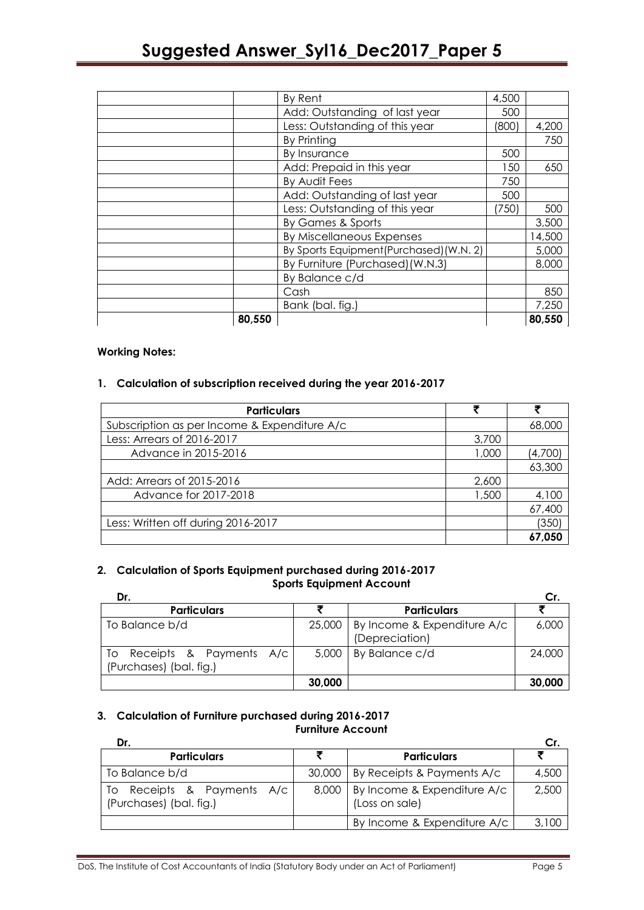|        | By Rent                                | 4,500 |        |
|--------|----------------------------------------|-------|--------|
|        | Add: Outstanding of last year          | 500   |        |
|        | Less: Outstanding of this year         | (800) | 4,200  |
|        | By Printing                            |       | 750    |
|        | By Insurance                           | 500   |        |
|        | Add: Prepaid in this year              | 150   | 650    |
|        | By Audit Fees                          | 750   |        |
|        | Add: Outstanding of last year          | 500   |        |
|        | Less: Outstanding of this year         | (750) | 500    |
|        | By Games & Sports                      |       | 3,500  |
|        | By Miscellaneous Expenses              |       | 14,500 |
|        | By Sports Equipment(Purchased)(W.N. 2) |       | 5,000  |
|        | By Furniture (Purchased) (W.N.3)       |       | 8,000  |
|        | By Balance c/d                         |       |        |
|        | Cash                                   |       | 850    |
|        | Bank (bal. fig.)                       |       | 7,250  |
| 80,550 |                                        |       | 80,550 |

#### **Working Notes:**

# **1. Calculation of subscription received during the year 2016-2017**

| <b>Particulars</b>                           |       |         |
|----------------------------------------------|-------|---------|
| Subscription as per Income & Expenditure A/c |       | 68,000  |
| Less: Arrears of 2016-2017                   | 3,700 |         |
| Advance in 2015-2016                         | 1,000 | (4,700) |
|                                              |       | 63,300  |
| Add: Arrears of 2015-2016                    | 2,600 |         |
| Advance for 2017-2018                        | 1,500 | 4,100   |
|                                              |       | 67,400  |
| Less: Written off during 2016-2017           |       | (350)   |
|                                              |       | 67,050  |

#### **2. Calculation of Sports Equipment purchased during 2016-2017 Sports Equipment Account**

| Dr.                                                      |        |                                                        |        |
|----------------------------------------------------------|--------|--------------------------------------------------------|--------|
| <b>Particulars</b>                                       |        | <b>Particulars</b>                                     |        |
| To Balance b/d                                           |        | 25,000   By Income & Expenditure A/c<br>(Depreciation) | 6,000  |
| Receipts & Payments A/c<br>To<br>(Purchases) (bal. fig.) |        | $5,000$   By Balance c/d                               | 24,000 |
|                                                          | 30,000 |                                                        | 30,000 |

#### **3. Calculation of Furniture purchased during 2016-2017 Furniture Account**

| Dr.                                                        |                                                       | Cr.   |
|------------------------------------------------------------|-------------------------------------------------------|-------|
| <b>Particulars</b>                                         | <b>Particulars</b>                                    |       |
| To Balance b/d                                             | 30,000   By Receipts & Payments A/c                   | 4,500 |
| Receipts & Payments A/c<br>To l<br>(Purchases) (bal. fig.) | 8,000   By Income & Expenditure A/c<br>(Loss on sale) | 2,500 |
|                                                            | By Income & Expenditure A/c                           | 3,100 |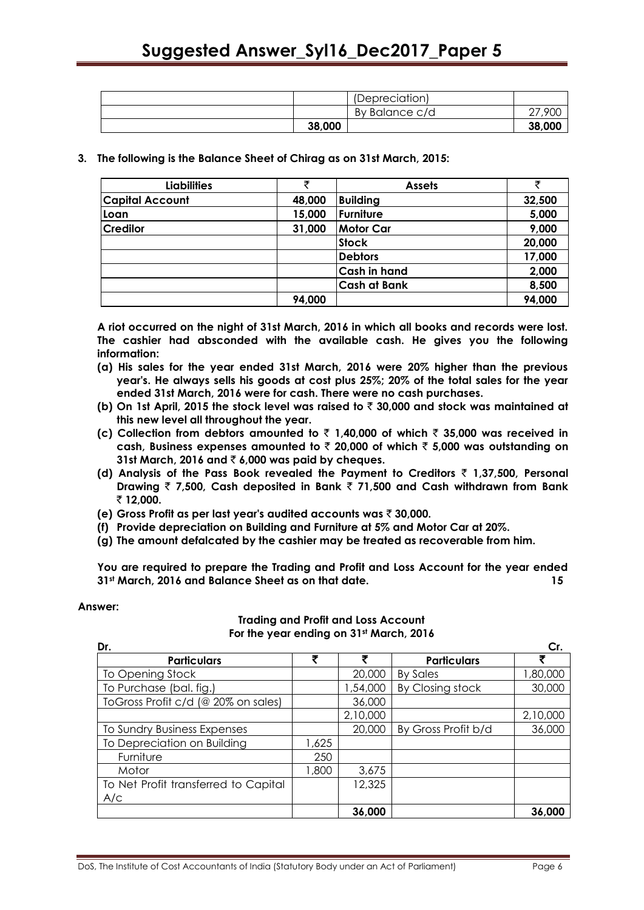|        | By Balance c/d | 27,900 |
|--------|----------------|--------|
| 38,000 |                | 38,000 |

**3. The following is the Balance Sheet of Chirag as on 31st March, 2015:**

| <b>Liabilities</b>     | ₹      | <b>Assets</b>       | ₹      |
|------------------------|--------|---------------------|--------|
| <b>Capital Account</b> | 48,000 | <b>Building</b>     | 32,500 |
| Loan                   | 15,000 | Furniture           | 5,000  |
| <b>Credilor</b>        | 31,000 | <b>Motor Car</b>    | 9,000  |
|                        |        | <b>Stock</b>        | 20,000 |
|                        |        | <b>Debtors</b>      | 17,000 |
|                        |        | Cash in hand        | 2,000  |
|                        |        | <b>Cash at Bank</b> | 8,500  |
|                        | 94,000 |                     | 94,000 |

**A riot occurred on the night of 31st March, 2016 in which all books and records were lost. The cashier had absconded with the available cash. He gives you the following information:**

- **(a) His sales for the year ended 31st March, 2016 were 20% higher than the previous year's. He always sells his goods at cost plus 25%; 20% of the total sales for the year ended 31st March, 2016 were for cash. There were no cash purchases.**
- **(b) On 1st April, 2015 the stock level was raised to** ` **30,000 and stock was maintained at this new level all throughout the year.**
- **(c) Collection from debtors amounted to** ` **1,40,000 of which** ` **35,000 was received in cash, Business expenses amounted to** ` **20,000 of which** ` **5,000 was outstanding on 31st March, 2016 and** ` **6,000 was paid by cheques.**
- **(d) Analysis of the Pass Book revealed the Payment to Creditors** ` **1,37,500, Personal Drawing** ` **7,500, Cash deposited in Bank** ` **71,500 and Cash withdrawn from Bank**  ` **12,000.**
- **(e) Gross Profit as per last year's audited accounts was** ` **30,000.**
- **(f) Provide depreciation on Building and Furniture at 5% and Motor Car at 20%.**
- **(g) The amount defalcated by the cashier may be treated as recoverable from him.**

**You are required to prepare the Trading and Profit and Loss Account for the year ended 31st March, 2016 and Balance Sheet as on that date. 15**

#### **Answer:**

#### **Trading and Profit and Loss Account For the year ending on 31st March, 2016**

| Dr.                                  |       |          |                     | Cr.      |
|--------------------------------------|-------|----------|---------------------|----------|
| <b>Particulars</b>                   | ₹     | ₹        | <b>Particulars</b>  | ₹        |
| To Opening Stock                     |       | 20,000   | <b>By Sales</b>     | 000,08,  |
| To Purchase (bal. fig.)              |       | 1,54,000 | By Closing stock    | 30,000   |
| ToGross Profit c/d (@ 20% on sales)  |       | 36,000   |                     |          |
|                                      |       | 2,10,000 |                     | 2,10,000 |
| To Sundry Business Expenses          |       | 20,000   | By Gross Profit b/d | 36,000   |
| To Depreciation on Building          | 1,625 |          |                     |          |
| Furniture                            | 250   |          |                     |          |
| Motor                                | 1,800 | 3,675    |                     |          |
| To Net Profit transferred to Capital |       | 12,325   |                     |          |
| A/c                                  |       |          |                     |          |
|                                      |       | 36,000   |                     | 36,000   |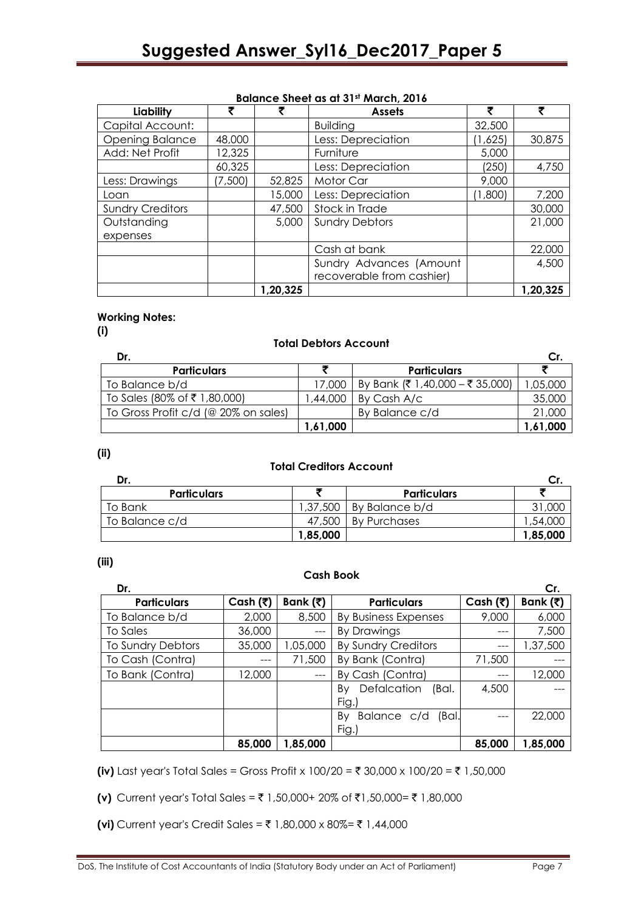| <b>DUIDING SHEET US OF SHEET MUILITY</b> |         |          |                           |         |          |  |
|------------------------------------------|---------|----------|---------------------------|---------|----------|--|
| Liability                                |         |          | <b>Assets</b>             |         |          |  |
| Capital Account:                         |         |          | <b>Building</b>           | 32,500  |          |  |
| <b>Opening Balance</b>                   | 48,000  |          | Less: Depreciation        | (1,625) | 30,875   |  |
| Add: Net Profit                          | 12,325  |          | Furniture                 | 5,000   |          |  |
|                                          | 60,325  |          | Less: Depreciation        | (250)   | 4,750    |  |
| Less: Drawings                           | (7,500) | 52,825   | Motor Car                 | 9,000   |          |  |
| Loan                                     |         | 15,000   | Less: Depreciation        | (1,800) | 7,200    |  |
| <b>Sundry Creditors</b>                  |         | 47,500   | Stock in Trade            |         | 30,000   |  |
| Outstanding                              |         | 5,000    | <b>Sundry Debtors</b>     |         | 21,000   |  |
| expenses                                 |         |          |                           |         |          |  |
|                                          |         |          | Cash at bank              |         | 22,000   |  |
|                                          |         |          | Sundry Advances (Amount   |         | 4,500    |  |
|                                          |         |          | recoverable from cashier) |         |          |  |
|                                          |         | 1,20,325 |                           |         | 1,20,325 |  |

#### **Balance Sheet as at 31st March, 2016**

# **Working Notes:**

**(i)**

#### **Total Debtors Account**

| Dr.                                  |          |                                 |          |
|--------------------------------------|----------|---------------------------------|----------|
| <b>Particulars</b>                   |          | <b>Particulars</b>              |          |
| To Balance b/d                       | 17.000   | By Bank (₹ 1,40,000 – ₹ 35,000) | ,05,000  |
| To Sales (80% of ₹1,80,000)          | .44.000  | By Cash A/c                     | 35,000   |
| To Gross Profit c/d (@ 20% on sales) |          | By Balance c/d                  | 21,000   |
|                                      | 1,61,000 |                                 | 1,61,000 |

**(ii)**

#### **Total Creditors Account**

|                    |          |                    | Cr.      |
|--------------------|----------|--------------------|----------|
| <b>Particulars</b> |          | <b>Particulars</b> |          |
| To Bank            | 1,37,500 | By Balance b/d     | 31,000   |
| To Balance c/d     | 47,500   | By Purchases       | ,54,000  |
|                    | 1,85,000 |                    | 1,85,000 |

#### **(iii)**

#### **Cash Book**

| Dr.                |                          |          |                                     |                          | Cr.      |
|--------------------|--------------------------|----------|-------------------------------------|--------------------------|----------|
| <b>Particulars</b> | Cash $(\overline{\tau})$ | Bank (₹) | <b>Particulars</b>                  | Cash $(\overline{\tau})$ | Bank (₹) |
| To Balance b/d     | 2,000                    | 8,500    | <b>By Business Expenses</b>         | 9,000                    | 6,000    |
| To Sales           | 36,000                   | $---$    | By Drawings                         | $---$                    | 7,500    |
| To Sundry Debtors  | 35,000                   | 1,05,000 | <b>By Sundry Creditors</b>          |                          | 1,37,500 |
| To Cash (Contra)   | ---                      | 71,500   | By Bank (Contra)                    | 71,500                   |          |
| To Bank (Contra)   | 12,000                   | $---$    | By Cash (Contra)                    |                          | 12,000   |
|                    |                          |          | Defalcation<br>(Bal.<br>Bv<br>Fig.) | 4,500                    |          |
|                    |                          |          | Balance c/d<br>(Bal.<br>Bv<br>Fig.) |                          | 22,000   |
|                    | 85,000                   | 1,85,000 |                                     | 85,000                   | 1,85,000 |

**(iv)** Last year's Total Sales = Gross Profit x 100/20 = ₹ 30,000 x 100/20 = ₹ 1,50,000

**(v)** Current year's Total Sales = ₹ 1,50,000+ 20% of ₹1,50,000= ₹ 1,80,000

**(vi)** Current year's Credit Sales = ₹ 1,80,000 x 80%= ₹ 1,44,000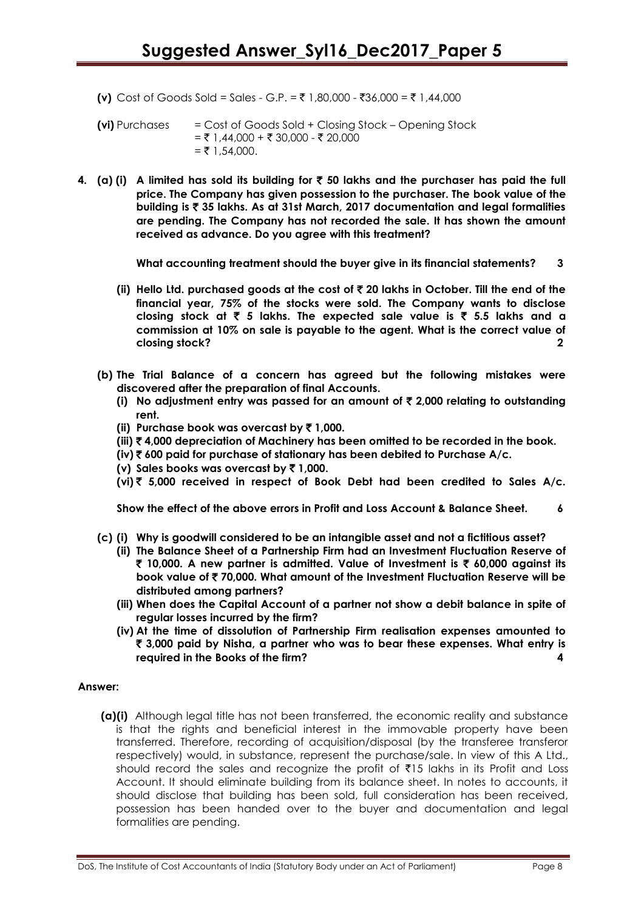**(v)** Cost of Goods Sold = Sales - G.P. = ₹ 1,80,000 - ₹36,000 = ₹ 1,44,000

**(vi)** Purchases = Cost of Goods Sold + Closing Stock – Opening Stock  $= ₹ 1,44,000 + ₹ 30,000 - ₹ 20,000$  $=$  ₹ 1,54,000.

**4. (a) (i) A limited has sold its building for** ` **50 lakhs and the purchaser has paid the full price. The Company has given possession to the purchaser. The book value of the building is** ` **35 lakhs. As at 31st March, 2017 documentation and legal formalities are pending. The Company has not recorded the sale. It has shown the amount received as advance. Do you agree with this treatment?**

**What accounting treatment should the buyer give in its financial statements? 3**

- **(ii) Hello Ltd. purchased goods at the cost of** ` **20 lakhs in October. Till the end of the financial year, 75% of the stocks were sold. The Company wants to disclose closing stock at** ` **5 lakhs. The expected sale value is** ` **5.5 lakhs and a commission at 10% on sale is payable to the agent. What is the correct value of closing stock? 2**
- **(b) The Trial Balance of a concern has agreed but the following mistakes were discovered after the preparation of final Accounts.**
	- **(i)** No adjustment entry was passed for an amount of  $\bar{\tau}$  2,000 relating to outstanding **rent.**
	- **(ii) Purchase book was overcast by** ` **1,000.**
	- **(iii)** ` **4,000 depreciation of Machinery has been omitted to be recorded in the book.**
	- **(iv)** ` **600 paid for purchase of stationary has been debited to Purchase A/c.**
	- **(v) Sales books was overcast by** ` **1,000.**
	- **(vi)** ` **5,000 received in respect of Book Debt had been credited to Sales A/c.**

**Show the effect of the above errors in Profit and Loss Account & Balance Sheet. 6**

- **(c) (i) Why is goodwill considered to be an intangible asset and not a fictitious asset?**
	- **(ii) The Balance Sheet of a Partnership Firm had an Investment Fluctuation Reserve of** ` **10,000. A new partner is admitted. Value of Investment is** ` **60,000 against its book value of** ` **70,000. What amount of the Investment Fluctuation Reserve will be distributed among partners?**
	- **(iii) When does the Capital Account of a partner not show a debit balance in spite of regular losses incurred by the firm?**
	- **(iv) At the time of dissolution of Partnership Firm realisation expenses amounted to**  ` **3,000 paid by Nisha, a partner who was to bear these expenses. What entry is required in the Books of the firm? 4**

#### **Answer:**

**(a)(i)** Although legal title has not been transferred, the economic reality and substance is that the rights and beneficial interest in the immovable property have been transferred. Therefore, recording of acquisition/disposal (by the transferee transferor respectively) would, in substance, represent the purchase/sale. In view of this A Ltd., should record the sales and recognize the profit of  $\bar{\tau}15$  lakhs in its Profit and Loss Account. It should eliminate building from its balance sheet. In notes to accounts, it should disclose that building has been sold, full consideration has been received, possession has been handed over to the buyer and documentation and legal formalities are pending.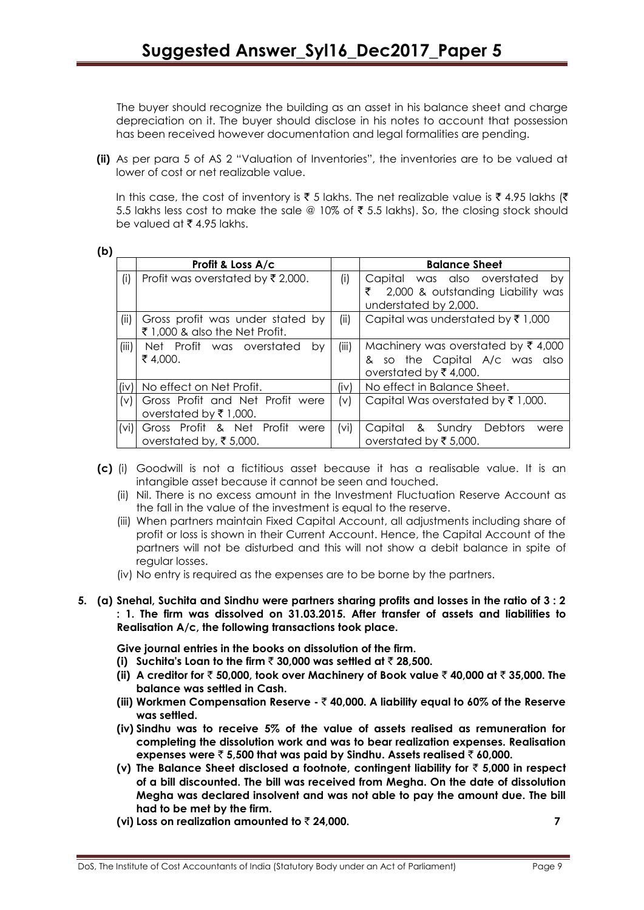The buyer should recognize the building as an asset in his balance sheet and charge depreciation on it. The buyer should disclose in his notes to account that possession has been received however documentation and legal formalities are pending.

**(ii)** As per para 5 of AS 2 "Valuation of Inventories", the inventories are to be valued at lower of cost or net realizable value.

In this case, the cost of inventory is  $\bar{\tau}$  5 lakhs. The net realizable value is  $\bar{\tau}$  4.95 lakhs ( $\bar{\tau}$ 5.5 lakhs less cost to make the sale @ 10% of  $\bar{\tau}$  5.5 lakhs). So, the closing stock should be valued at  $\bar{\tau}$  4.95 lakhs.

| ۹<br>۰.<br>۰. |  |
|---------------|--|
|---------------|--|

|                                  | Profit & Loss A/c                                                  |                                                                                                                   | <b>Balance Sheet</b>                                                                                 |  |  |
|----------------------------------|--------------------------------------------------------------------|-------------------------------------------------------------------------------------------------------------------|------------------------------------------------------------------------------------------------------|--|--|
| (i)                              | Profit was overstated by ₹2,000.                                   | (i)                                                                                                               | Capital was also overstated<br>by<br>2,000 & outstanding Liability was<br>₹<br>understated by 2,000. |  |  |
| (ii)                             | Gross profit was under stated by<br>₹ 1,000 & also the Net Profit. | (ii)<br>Capital was understated by $\bar{\tau}$ 1,000                                                             |                                                                                                      |  |  |
| (iii)                            | Net Profit was overstated<br>bv<br>₹4,000.                         | (iii)<br>Machinery was overstated by $\bar{\tau}$ 4,000<br>& so the Capital A/c was also<br>overstated by ₹4,000. |                                                                                                      |  |  |
| (iv)                             | No effect on Net Profit.                                           | (iv)                                                                                                              | No effect in Balance Sheet.                                                                          |  |  |
| $\mathsf{[}\mathsf{v}\mathsf{]}$ | Gross Profit and Net Profit were<br>overstated by ₹1,000.          | (v)                                                                                                               | Capital Was overstated by $\bar{\tau}$ 1,000.                                                        |  |  |
| (vi)                             | Gross Profit & Net Profit<br>were<br>overstated by, ₹5,000.        | (vi)                                                                                                              | Capital & Sundry<br><b>Debtors</b><br>were<br>overstated by ₹5,000.                                  |  |  |

- **(c)** (i) Goodwill is not a fictitious asset because it has a realisable value. It is an intangible asset because it cannot be seen and touched.
	- (ii) Nil. There is no excess amount in the Investment Fluctuation Reserve Account as the fall in the value of the investment is equal to the reserve.
	- (iii) When partners maintain Fixed Capital Account, all adjustments including share of profit or loss is shown in their Current Account. Hence, the Capital Account of the partners will not be disturbed and this will not show a debit balance in spite of regular losses.
	- (iv) No entry is required as the expenses are to be borne by the partners.
- **5. (a) Snehal, Suchita and Sindhu were partners sharing profits and losses in the ratio of 3 : 2 : 1. The firm was dissolved on 31.03.2015. After transfer of assets and liabilities to Realisation A/c, the following transactions took place.**

**Give journal entries in the books on dissolution of the firm.**

- **(i)** Suchita's Loan to the firm  $\bar{\tau}$  30,000 was settled at  $\bar{\tau}$  28,500.
- **(ii) A creditor for** ` **50,000, took over Machinery of Book value** ` **40,000 at** ` **35,000. The balance was settled in Cash.**
- **(iii) Workmen Compensation Reserve -** ` **40,000. A liability equal to 60% of the Reserve was settled.**
- **(iv) Sindhu was to receive 5% of the value of assets realised as remuneration for completing the dissolution work and was to bear realization expenses. Realisation expenses were** ` **5,500 that was paid by Sindhu. Assets realised** ` **60,000.**
- **(v) The Balance Sheet disclosed a footnote, contingent liability for** ` **5,000 in respect of a bill discounted. The bill was received from Megha. On the date of dissolution Megha was declared insolvent and was not able to pay the amount due. The bill had to be met by the firm.**
- **(vi)** Loss on realization amounted to  $\bar{z}$  24,000.  $\overline{z}$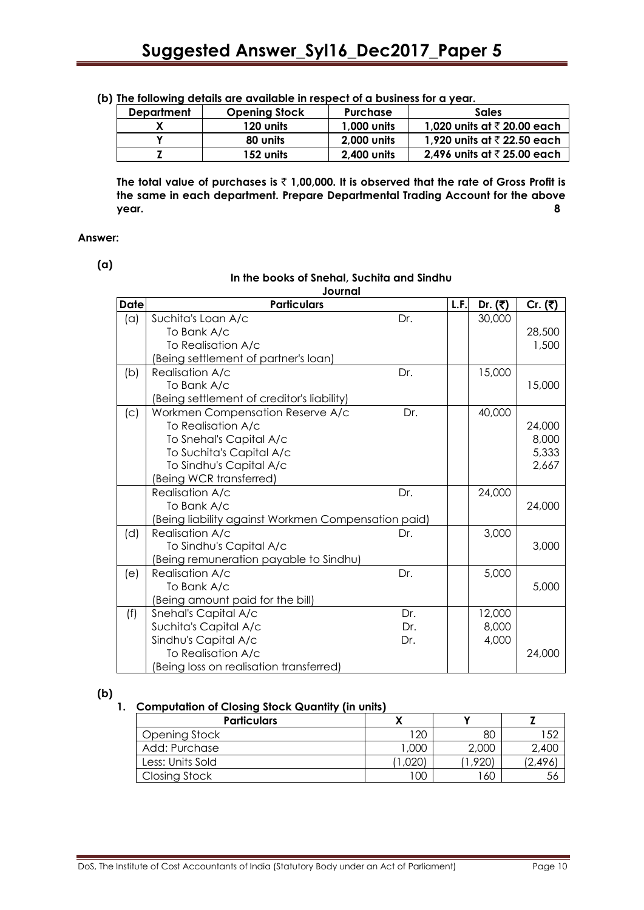| The following actually are a randole in respect of a boshiess for a year. |                      |                 |                                        |  |  |  |  |  |
|---------------------------------------------------------------------------|----------------------|-----------------|----------------------------------------|--|--|--|--|--|
| <b>Department</b>                                                         | <b>Opening Stock</b> | <b>Purchase</b> | <b>Sales</b>                           |  |  |  |  |  |
|                                                                           | 120 units            | 1,000 units     | 1,020 units at $\bar{\tau}$ 20.00 each |  |  |  |  |  |
|                                                                           | 80 units             | 2,000 units     | 1,920 units at $\bar{\tau}$ 22.50 each |  |  |  |  |  |
|                                                                           | 152 units            | 2,400 units     | 2,496 units at $\bar{\tau}$ 25.00 each |  |  |  |  |  |

**(b) The following details are available in respect of a business for a year.**

**The total value of purchases is** ` **1,00,000. It is observed that the rate of Gross Profit is the same in each department. Prepare Departmental Trading Account for the above year. 8**

#### **Answer:**

**(a)**

#### **In the books of Snehal, Suchita and Sindhu Journal**

| <b>Date</b> | <b>Particulars</b>                                  |     | L.F. | Dr. $( ₹)$ | Cr. $(3)$ |
|-------------|-----------------------------------------------------|-----|------|------------|-----------|
| (a)         | Suchita's Loan A/c                                  | Dr. |      | 30,000     |           |
|             | To Bank A/c                                         |     |      |            | 28,500    |
|             | To Realisation A/c                                  |     |      |            | 1,500     |
|             | (Being settlement of partner's loan)                |     |      |            |           |
| (b)         | Realisation A/c                                     | Dr. |      | 15,000     |           |
|             | To Bank A/c                                         |     |      |            | 15,000    |
|             | (Being settlement of creditor's liability)          |     |      |            |           |
| (c)         | Workmen Compensation Reserve A/c                    | Dr. |      | 40,000     |           |
|             | To Realisation A/c                                  |     |      |            | 24,000    |
|             | To Snehal's Capital A/c                             |     |      |            | 8,000     |
|             | To Suchita's Capital A/c                            |     |      |            | 5,333     |
|             | To Sindhu's Capital A/c                             |     |      |            | 2,667     |
|             | (Being WCR transferred)                             |     |      |            |           |
|             | <b>Realisation A/c</b>                              | Dr. |      | 24,000     |           |
|             | To Bank A/c                                         |     |      |            | 24,000    |
|             | (Being liability against Workmen Compensation paid) |     |      |            |           |
| (d)         | Realisation A/c                                     | Dr. |      | 3,000      |           |
|             | To Sindhu's Capital A/c                             |     |      |            | 3,000     |
|             | (Being remuneration payable to Sindhu)              |     |      |            |           |
| (e)         | Realisation A/c                                     | Dr. |      | 5,000      |           |
|             | To Bank A/c                                         |     |      |            | 5,000     |
|             | (Being amount paid for the bill)                    |     |      |            |           |
| (f)         | Snehal's Capital A/c                                | Dr. |      | 12,000     |           |
|             | Suchita's Capital A/c                               | Dr. |      | 8,000      |           |
|             | Sindhu's Capital A/c                                | Dr. |      | 4,000      |           |
|             | To Realisation A/c                                  |     |      |            | 24,000    |
|             | (Being loss on realisation transferred)             |     |      |            |           |

**(b)**

#### **1. Computation of Closing Stock Quantity (in units)**

| <b>Particulars</b> |      |       |       |
|--------------------|------|-------|-------|
| Opening Stock      | 120  | 80    | ぶつ    |
| Add: Purchase      | ,000 | 2,000 | 2,400 |
| Less: Units Sold   |      | ,920) | 2.496 |
| Closing Stock      | 100  | -60   | 56    |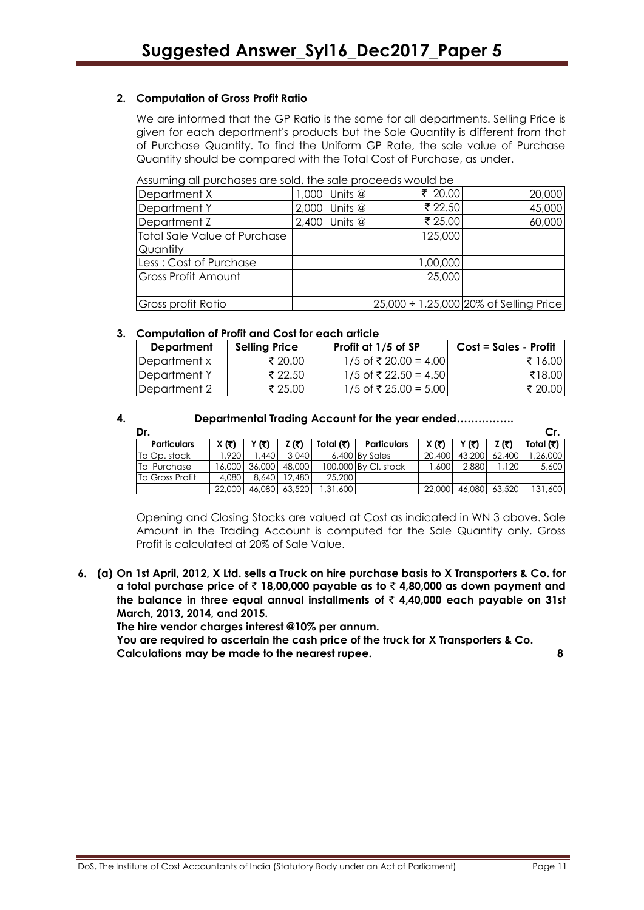# **2. Computation of Gross Profit Ratio**

We are informed that the GP Ratio is the same for all departments. Selling Price is given for each department's products but the Sale Quantity is different from that of Purchase Quantity. To find the Uniform GP Rate, the sale value of Purchase Quantity should be compared with the Total Cost of Purchase, as under.

|  |  | Assuming all purchases are sold, the sale proceeds would be |
|--|--|-------------------------------------------------------------|
|  |  |                                                             |

|                              | Assuming all purchases are sold, me sale proceeds would be |          |                                             |  |  |  |  |
|------------------------------|------------------------------------------------------------|----------|---------------------------------------------|--|--|--|--|
| Department X                 | 1,000 Units @                                              | ₹ 20.00  | 20,000                                      |  |  |  |  |
| Department Y                 | Units @<br>2,000                                           | ₹ 22.50  | 45,000                                      |  |  |  |  |
| Department Z                 | $2,400$ Units $@$                                          | ₹ 25.00  | 60,000                                      |  |  |  |  |
| Total Sale Value of Purchase |                                                            | 125,000  |                                             |  |  |  |  |
| Quantity                     |                                                            |          |                                             |  |  |  |  |
| Less: Cost of Purchase       |                                                            | 1,00,000 |                                             |  |  |  |  |
| Gross Profit Amount          |                                                            | 25,000   |                                             |  |  |  |  |
|                              |                                                            |          |                                             |  |  |  |  |
| Gross profit Ratio           |                                                            |          | $25,000 \div 1,25,000$ 20% of Selling Price |  |  |  |  |

#### **3. Computation of Profit and Cost for each article**

| Department    | <b>Selling Price</b> | Profit at 1/5 of SP     | Cost = Sales - Profit |  |  |  |  |
|---------------|----------------------|-------------------------|-----------------------|--|--|--|--|
| IDepartment x | ₹ 20.00              | $1/5$ of ₹ 20.00 = 4.00 | ₹ 16.00               |  |  |  |  |
| Department Y  | ₹ 22.50              | $1/5$ of ₹ 22.50 = 4.50 | ₹18.00                |  |  |  |  |
| Department 2  | ₹ 25.00              | $1/5$ of ₹ 25.00 = 5.00 | ₹ 20.00               |  |  |  |  |

#### **4. Departmental Trading Account for the year ended…………….**

| Dr.                |            |        |         |           |                      |        |        |        | Cr.       |
|--------------------|------------|--------|---------|-----------|----------------------|--------|--------|--------|-----------|
| <b>Particulars</b> | X (₹)      | (₹)    | (₹)     | Total (₹) | <b>Particulars</b>   | X (₹)  | (र)    | Z (₹)  | Total (₹) |
| To Op. stock       | <b>920</b> | .440   | 3 0 4 0 |           | 6,400 By Sales       | 20.400 | 43,200 | 62,400 | .26.000   |
| To Purchase        | 6,000      | 36,000 | 48,000  |           | 100,000 By CI, stock | .600   | 2,880  | 120    | 5,600     |
| To Gross Profit    | 4,080      | 8,640  | 12,480  | 25,200    |                      |        |        |        |           |
|                    | 22,000     | 46,080 | 63,520  | .31.600   |                      | 22,000 | 46,080 | 63,520 | 131,600   |

Opening and Closing Stocks are valued at Cost as indicated in WN 3 above. Sale Amount in the Trading Account is computed for the Sale Quantity only. Gross Profit is calculated at 20% of Sale Value.

**6. (a) On 1st April, 2012, X Ltd. sells a Truck on hire purchase basis to X Transporters & Co. for**  a total purchase price of  $\bar{\tau}$  18,00,000 payable as to  $\bar{\tau}$  4,80,000 as down payment and **the balance in three equal annual installments of** ` **4,40,000 each payable on 31st March, 2013, 2014, and 2015.**

**The hire vendor charges interest @10% per annum.**

**You are required to ascertain the cash price of the truck for X Transporters & Co. Calculations may be made to the nearest rupee. 8**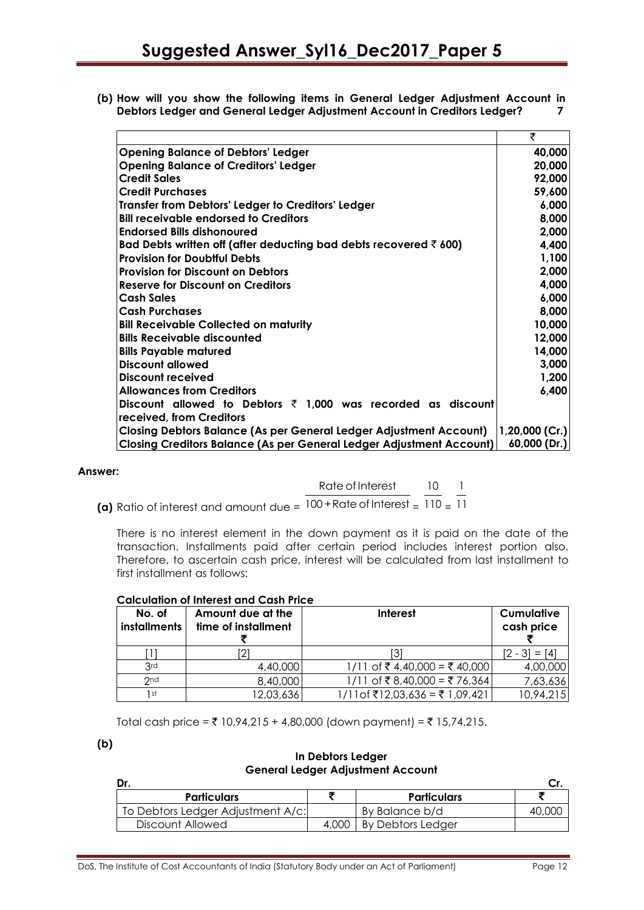**(b) How will you show the following items in General Ledger Adjustment Account in Debtors Ledger and General Ledger Adjustment Account in Creditors Ledger? 7**

|                                                                              | ₹                 |
|------------------------------------------------------------------------------|-------------------|
| <b>Opening Balance of Debtors' Ledger</b>                                    | 40,000            |
| <b>Opening Balance of Creditors' Ledger</b>                                  | 20,000            |
| <b>Credit Sales</b>                                                          | 92,000            |
| <b>Credit Purchases</b>                                                      | 59,600            |
| Transfer from Debtors' Ledger to Creditors' Ledger                           | 6,000             |
| <b>Bill receivable endorsed to Creditors</b>                                 | 8,000             |
| <b>Endorsed Bills dishonoured</b>                                            | 2,000             |
| Bad Debts written off (after deducting bad debts recovered $\bar{\tau}$ 600) | 4,400             |
| <b>Provision for Doubiful Debts</b>                                          | 1,100             |
| <b>Provision for Discount on Debtors</b>                                     | 2,000             |
| Reserve for Discount on Creditors                                            | 4,000             |
| <b>Cash Sales</b>                                                            | 6,000             |
| <b>Cash Purchases</b>                                                        | 8,000             |
| <b>Bill Receivable Collected on maturity</b>                                 | 10,000            |
| <b>Bills Receivable discounted</b>                                           | 12,000            |
| <b>Bills Payable matured</b>                                                 | 14,000            |
| <b>Discount allowed</b>                                                      | 3,000             |
| Discount received                                                            | 1,200             |
| <b>Allowances from Creditors</b>                                             | 6,400             |
| Discount allowed to Debtors $\bar{\tau}$ 1,000 was recorded as discount      |                   |
| received, from Creditors                                                     |                   |
| Closing Debtors Balance (As per General Ledger Adjustment Account)           | $ 1,20,000$ (Cr.) |
| <b>Closing Creditors Balance (As per General Ledger Adjustment Account)</b>  | 60,000 (Dr.)      |

#### **Answer:**

**(a)** Ratio of interest and amount due = Rate of Interest  $\overline{100 + \text{Rate of Interest}} =$ 10  $110 =$ 1 11

There is no interest element in the down payment as it is paid on the date of the transaction. Installments paid after certain period includes interest portion also. Therefore, to ascertain cash price, interest will be calculated from last installment to first installment as follows:

| No. of<br>installments | Amount due at the<br>time of installment | <b>Interest</b>               | Cumulative<br>cash price |
|------------------------|------------------------------------------|-------------------------------|--------------------------|
|                        |                                          |                               | $[2 - 3] = [4]$          |
| 3rd                    | 4,40,000                                 | 1/11 of ₹4,40,000 = ₹40,000   | 4,00,000                 |
| 2 <sub>nd</sub>        | 8,40,000                                 | 1/11 of ₹8,40,000 = ₹76,364   | 7,63,636                 |
| 1 st                   | 12,03,636                                | 1/11of ₹12,03,636 = ₹1,09,421 | 10,94,215                |

Total cash price = ₹ 10,94,215 + 4,80,000 (down payment) = ₹ 15,74,215.

**(b)**

#### **In Debtors Ledger General Ledger Adjustment Account**

| Dr.                               |       |                    |  |
|-----------------------------------|-------|--------------------|--|
| <b>Particulars</b>                |       | <b>Particulars</b> |  |
| To Debtors Ledger Adjustment A/c: |       | By Balance b/d     |  |
| Discount Allowed                  | 4.000 | By Debtors Ledger  |  |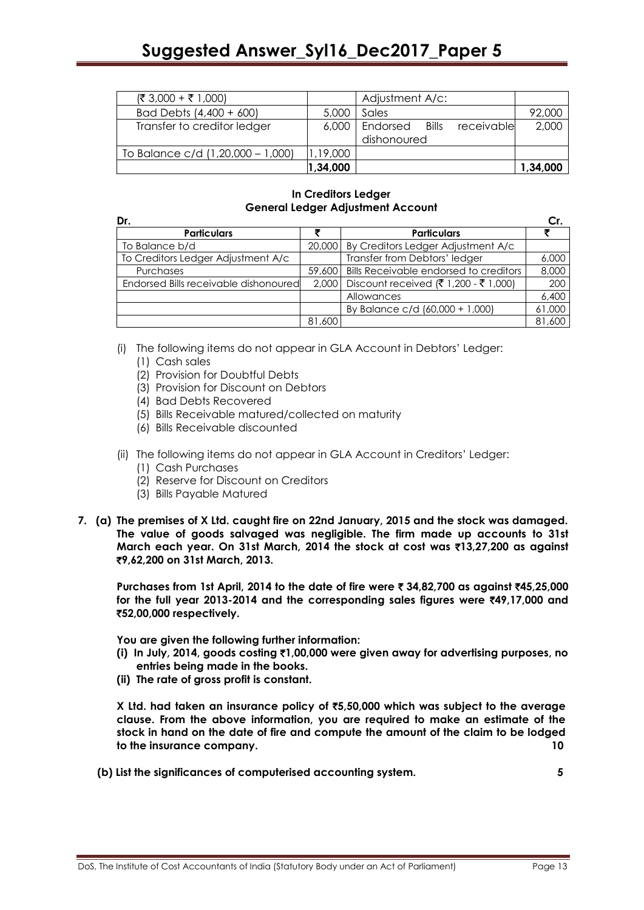# **Suggested Answer\_Syl16\_Dec2017\_Paper 5**

|                                   | 1,34,000 |                                        | 1,34,000 |
|-----------------------------------|----------|----------------------------------------|----------|
| To Balance c/d (1,20,000 - 1,000) | 1,19,000 |                                        |          |
|                                   |          | dishonoured                            |          |
| Transfer to creditor ledger       | 6,000    | receivable<br><b>Bills</b><br>Endorsed | 2,000    |
| Bad Debts (4,400 + 600)           | 5,000    | Sales                                  | 92,000   |
| $(3,000 + 3,000)$                 |          | Adjustment A/c:                        |          |

# **In Creditors Ledger General Ledger Adjustment Account**

| Dr.                                   |        |                                        | Cr.    |
|---------------------------------------|--------|----------------------------------------|--------|
| <b>Particulars</b>                    |        | <b>Particulars</b>                     |        |
| To Balance b/d                        | 20,000 | By Creditors Ledger Adjustment A/c     |        |
| To Creditors Ledger Adjustment A/c    |        | Transfer from Debtors' ledger          | 6,000  |
| Purchases                             | 59,600 | Bills Receivable endorsed to creditors | 8,000  |
| Endorsed Bills receivable dishonoured | 2,000  | Discount received (₹ 1,200 - ₹ 1,000)  | 200    |
|                                       |        | Allowances                             | 6,400  |
|                                       |        | By Balance c/d (60,000 + 1,000)        | 61,000 |
|                                       | 81,600 |                                        | 81,600 |

(i) The following items do not appear in GLA Account in Debtors' Ledger:

- (1) Cash sales
- (2) Provision for Doubtful Debts
- (3) Provision for Discount on Debtors
- (4) Bad Debts Recovered
- (5) Bills Receivable matured/collected on maturity
- (6) Bills Receivable discounted
- (ii) The following items do not appear in GLA Account in Creditors' Ledger:
	- (1) Cash Purchases
	- (2) Reserve for Discount on Creditors
	- (3) Bills Payable Matured
- **7. (a) The premises of X Ltd. caught fire on 22nd January, 2015 and the stock was damaged. The value of goods salvaged was negligible. The firm made up accounts to 31st March each year. On 31st March, 2014 the stock at cost was** `**13,27,200 as against**  `**9,62,200 on 31st March, 2013.**

**Purchases from 1st April, 2014 to the date of fire were** ` **34,82,700 as against** `**45,25,000 for the full year 2013-2014 and the corresponding sales figures were** `**49,17,000 and**  `**52,00,000 respectively.**

**You are given the following further information:**

- **(i) In July, 2014, goods costing** `**1,00,000 were given away for advertising purposes, no entries being made in the books.**
- **(ii) The rate of gross profit is constant.**

**X Ltd. had taken an insurance policy of** `**5,50,000 which was subject to the average clause. From the above information, you are required to make an estimate of the stock in hand on the date of fire and compute the amount of the claim to be lodged to the insurance company. 10**

**(b) List the significances of computerised accounting system. 5**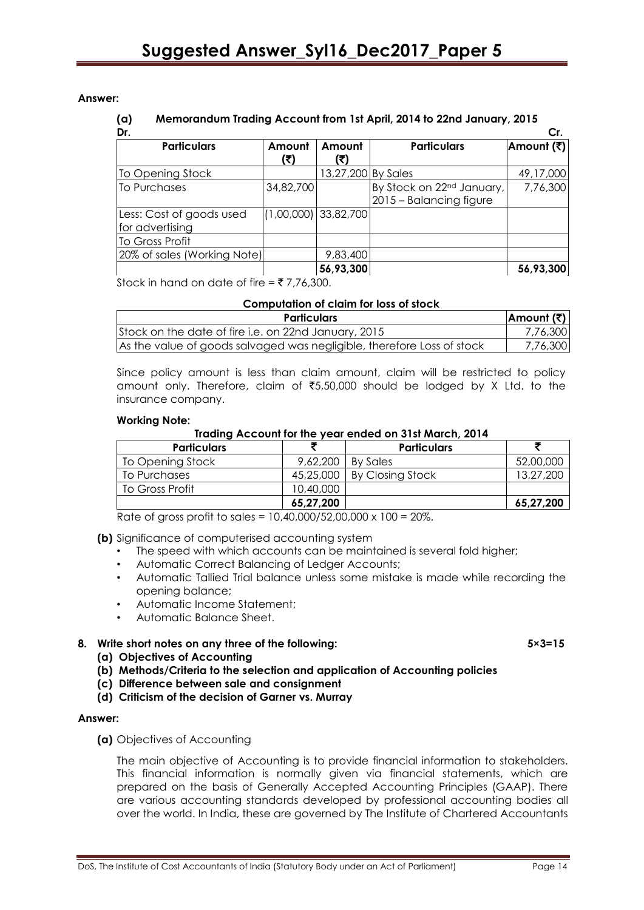**Answer:**

#### **(a) Memorandum Trading Account from 1st April, 2014 to 22nd January, 2015**

| Dr.                                         |                        |                    |                                                                  | Cr.        |
|---------------------------------------------|------------------------|--------------------|------------------------------------------------------------------|------------|
| <b>Particulars</b>                          | Amount<br>(₹)          | Amount             | <b>Particulars</b>                                               | Amount (₹) |
| To Opening Stock                            |                        | 13,27,200 By Sales |                                                                  | 49,17,000  |
| To Purchases                                | 34,82,700              |                    | By Stock on 22 <sup>nd</sup> January,<br>2015 - Balancing figure | 7,76,300   |
| Less: Cost of goods used<br>for advertising | $(1,00,000)$ 33,82,700 |                    |                                                                  |            |
| To Gross Profit                             |                        |                    |                                                                  |            |
| 20% of sales (Working Note)                 |                        | 9,83,400           |                                                                  |            |
|                                             |                        | 56,93,300          |                                                                  | 56,93,300  |

Stock in hand on date of fire =  $\overline{5}$  7,76,300.

# **Computation of claim for loss of stock**

| <b>Particulars</b>                                                     | Amount (₹) |
|------------------------------------------------------------------------|------------|
| Stock on the date of fire i.e. on 22nd January, 2015                   | 7,76,300   |
| As the value of goods salvaged was negligible, therefore Loss of stock | 7,76,300   |

Since policy amount is less than claim amount, claim will be restricted to policy amount only. Therefore, claim of  $\overline{55,50,000}$  should be lodged by X Ltd. to the insurance company.

#### **Working Note:**

#### **Trading Account for the year ended on 31st March, 2014**

| <b>Particulars</b> |           | <b>Particulars</b> |           |
|--------------------|-----------|--------------------|-----------|
| To Opening Stock   | 9,62,200  | <b>By Sales</b>    | 52,00,000 |
| To Purchases       | 45,25,000 | By Closing Stock   | 13,27,200 |
| To Gross Profit    | 10,40,000 |                    |           |
|                    | 65,27,200 |                    | 65,27,200 |

Rate of gross profit to sales = 10,40,000/52,00,000 x 100 = 20%.

**(b)** Significance of computerised accounting system

- The speed with which accounts can be maintained is several fold higher;
- Automatic Correct Balancing of Ledger Accounts;
- Automatic Tallied Trial balance unless some mistake is made while recording the opening balance;
- Automatic Income Statement;
- Automatic Balance Sheet.

# **8. Write short notes on any three of the following: 5×3=15**

- **(a) Objectives of Accounting**
- **(b) Methods/Criteria to the selection and application of Accounting policies**
- **(c) Difference between sale and consignment**
- **(d) Criticism of the decision of Garner vs. Murray**

#### **Answer:**

**(a)** Objectives of Accounting

The main objective of Accounting is to provide financial information to stakeholders. This financial information is normally given via financial statements, which are prepared on the basis of Generally Accepted Accounting Principles (GAAP). There are various accounting standards developed by professional accounting bodies all over the world. In India, these are governed by The Institute of Chartered Accountants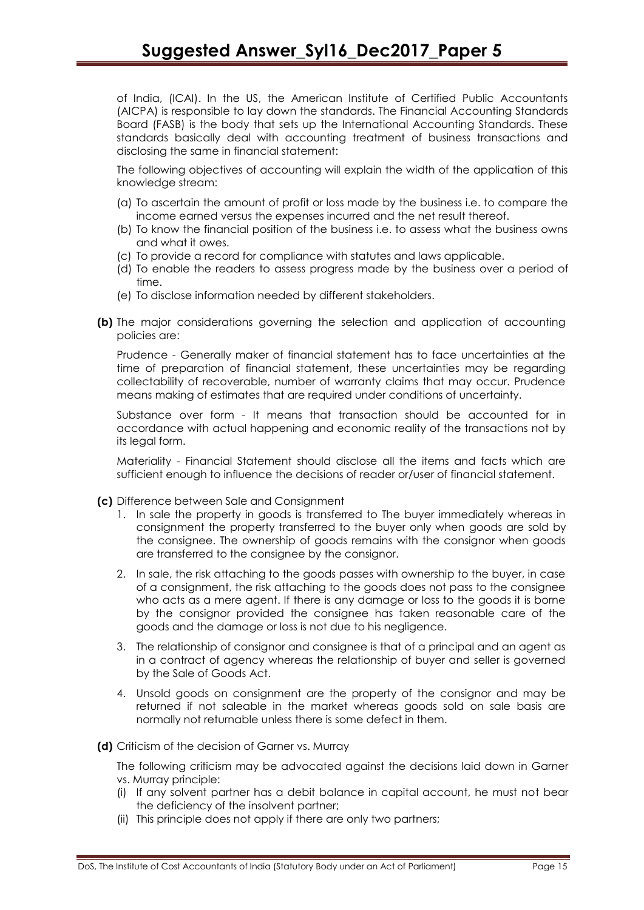of India, (ICAI). In the US, the American Institute of Certified Public Accountants (AICPA) is responsible to lay down the standards. The Financial Accounting Standards Board (FASB) is the body that sets up the International Accounting Standards. These standards basically deal with accounting treatment of business transactions and disclosing the same in financial statement:

The following objectives of accounting will explain the width of the application of this knowledge stream:

- (a) To ascertain the amount of profit or loss made by the business i.e. to compare the income earned versus the expenses incurred and the net result thereof.
- (b) To know the financial position of the business i.e. to assess what the business owns and what it owes.
- (c) To provide a record for compliance with statutes and laws applicable.
- (d) To enable the readers to assess progress made by the business over a period of time.
- (e) To disclose information needed by different stakeholders.
- **(b)** The major considerations governing the selection and application of accounting policies are:

Prudence - Generally maker of financial statement has to face uncertainties at the time of preparation of financial statement, these uncertainties may be regarding collectability of recoverable, number of warranty claims that may occur. Prudence means making of estimates that are required under conditions of uncertainty.

Substance over form - It means that transaction should be accounted for in accordance with actual happening and economic reality of the transactions not by its legal form.

Materiality - Financial Statement should disclose all the items and facts which are sufficient enough to influence the decisions of reader or/user of financial statement.

- **(c)** Difference between Sale and Consignment
	- 1. In sale the property in goods is transferred to The buyer immediately whereas in consignment the property transferred to the buyer only when goods are sold by the consignee. The ownership of goods remains with the consignor when goods are transferred to the consignee by the consignor.
	- 2. In sale, the risk attaching to the goods passes with ownership to the buyer, in case of a consignment, the risk attaching to the goods does not pass to the consignee who acts as a mere agent. If there is any damage or loss to the goods it is borne by the consignor provided the consignee has taken reasonable care of the goods and the damage or loss is not due to his negligence.
	- 3. The relationship of consignor and consignee is that of a principal and an agent as in a contract of agency whereas the relationship of buyer and seller is governed by the Sale of Goods Act.
	- 4. Unsold goods on consignment are the property of the consignor and may be returned if not saleable in the market whereas goods sold on sale basis are normally not returnable unless there is some defect in them.
- **(d)** Criticism of the decision of Garner vs. Murray

The following criticism may be advocated against the decisions laid down in Garner vs. Murray principle:

- (i) If any solvent partner has a debit balance in capital account, he must not bear the deficiency of the insolvent partner;
- (ii) This principle does not apply if there are only two partners;